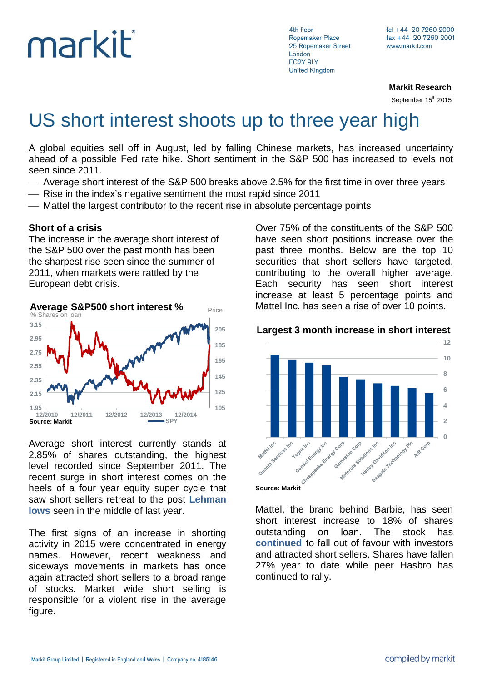# markit

4th floor Ropemaker Place 25 Ropemaker Street London EC2Y 9LY **United Kingdom** 

**Markit Research**

September 15<sup>th</sup> 2015

## US short interest shoots up to three year high

A global equities sell off in August, led by falling Chinese markets, has increased uncertainty ahead of a possible Fed rate hike. Short sentiment in the S&P 500 has increased to levels not seen since 2011.

- Average short interest of the S&P 500 breaks above 2.5% for the first time in over three years
- Rise in the index's negative sentiment the most rapid since 2011
- Mattel the largest contributor to the recent rise in absolute percentage points

#### **Short of a crisis**

The increase in the average short interest of the S&P 500 over the past month has been the sharpest rise seen since the summer of 2011, when markets were rattled by the European debt crisis.



Average short interest currently stands at 2.85% of shares outstanding, the highest level recorded since September 2011. The recent surge in short interest comes on the heels of a four year equity super cycle that saw short sellers [retreat](http://www.ft.com/cms/s/0/b5445190-069c-11e4-8c0e-00144feab7de.html#axzz3lhgjrck3) to the post **[Lehman](http://www.ft.com/cms/s/0/b5445190-069c-11e4-8c0e-00144feab7de.html#axzz3lhgjrck3)  [lows](http://www.ft.com/cms/s/0/b5445190-069c-11e4-8c0e-00144feab7de.html#axzz3lhgjrck3)** seen in the middle of last year.

The first signs of an increase in shorting activity in 2015 were concentrated in energy names. However, recent weakness and sideways movements in markets has once again attracted short sellers to a broad range of stocks. Market wide short selling is responsible for a violent rise in the average figure.

Over 75% of the constituents of the S&P 500 have seen short positions increase over the past three months. Below are the top 10 securities that short sellers have targeted, contributing to the overall higher average. Each security has seen short interest increase at least 5 percentage points and Mattel Inc. has seen a rise of over 10 points.





**Source: Markit**

Mattel, the brand behind Barbie, has seen short interest increase to 18% of shares outstanding on loan. The stock has **[continued](http://www.markit.com/Commentary/Get/22122014-Equities-What-s-in-short-sellers-festive-sack)** to fall out of favour with investors and attracted short sellers. Shares have fallen 27% year to date while peer Hasbro has continued to rally.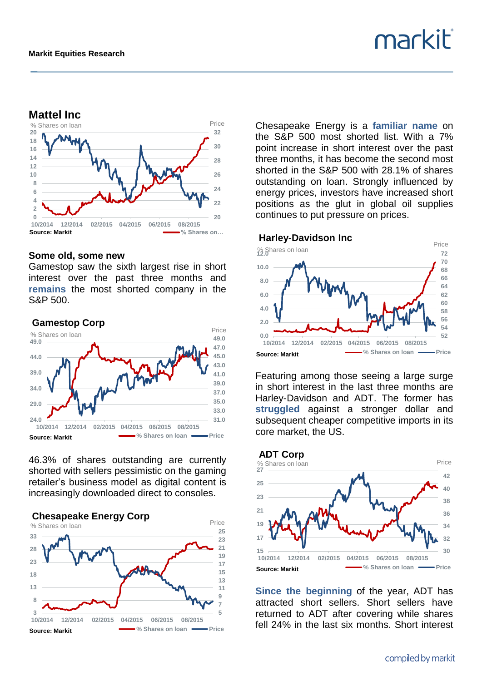

#### **Some old, some new**

Gamestop saw the sixth largest rise in short interest over the past three months and **[remains](http://www.markit.com/Commentary/Get/20032015-Equities-Most-shorted-ahead-of-earnings)** the most shorted company in the S&P 500.



46.3% of shares outstanding are currently shorted with sellers pessimistic on the gaming retailer's business model as digital content is increasingly downloaded direct to consoles.

**5 7 9 11 13 15 17 19 21 23 25**  $3 \overline{)10/2014}$ **8 13 18 23 28 33 10/2014 12/2014 02/2015 04/2015 06/2015 08/2015 Source: Markit 1990 CONDUCT: A SHARE SOURCE: Markit Chesapeake Energy Corp** % Shares on loan Chesapeake Energy is a **[familiar name](http://www.markit.com/Commentary/Get/14042015-Equities-Bulls-to-gain-on-oil-s-M-A-wake)** on the S&P 500 most shorted list. With a 7% point increase in short interest over the past three months, it has become the second most shorted in the S&P 500 with 28.1% of shares outstanding on loan. Strongly influenced by energy prices, investors have increased short positions as the glut in global oil supplies continues to put pressure on prices.

markit®





Featuring among those seeing a large surge in short interest in the last three months are Harley-Davidson and ADT. The former has **[struggled](http://www.markit.com/Commentary/Get/08092015-Equities-Chinese-exposure)** against a stronger dollar and subsequent cheaper competitive imports in its core market, the US.



**[Since the beginning](http://www.markit.com/Commentary/Get/22012015-Equities-ADT-and-the-smart-home-debate)** of the year, ADT has attracted short sellers. Short sellers have returned to ADT after covering while shares fell 24% in the last six months. Short interest